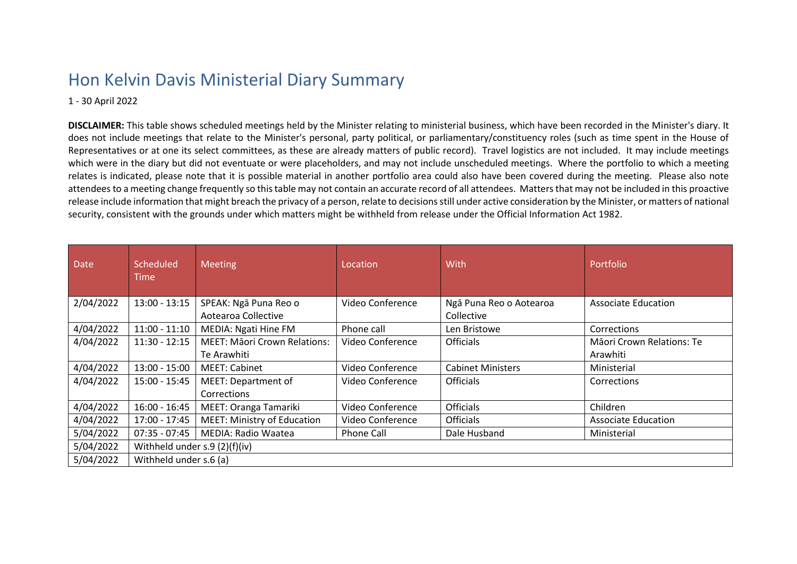## Hon Kelvin Davis Ministerial Diary Summary

1 - 30 April 2022

**DISCLAIMER:** This table shows scheduled meetings held by the Minister relating to ministerial business, which have been recorded in the Minister's diary. It does not include meetings that relate to the Minister's personal, party political, or parliamentary/constituency roles (such as time spent in the House of Representatives or at one its select committees, as these are already matters of public record). Travel logistics are not included. It may include meetings which were in the diary but did not eventuate or were placeholders, and may not include unscheduled meetings. Where the portfolio to which a meeting relates is indicated, please note that it is possible material in another portfolio area could also have been covered during the meeting. Please also note attendees to a meeting change frequently so this table may not contain an accurate record of all attendees. Matters that may not be included in this proactive release include information that might breach the privacy of a person, relate to decisions still under active consideration by the Minister, or matters of national security, consistent with the grounds under which matters might be withheld from release under the Official Information Act 1982.

| Date      | Scheduled<br>Time             | <b>Meeting</b>                      | Location         | With                     | Portfolio                  |  |
|-----------|-------------------------------|-------------------------------------|------------------|--------------------------|----------------------------|--|
| 2/04/2022 | $13:00 - 13:15$               | SPEAK: Ngā Puna Reo o               | Video Conference | Ngā Puna Reo o Aotearoa  | <b>Associate Education</b> |  |
|           |                               | Aotearoa Collective                 |                  | Collective               |                            |  |
| 4/04/2022 | $11:00 - 11:10$               | <b>MEDIA: Ngati Hine FM</b>         | Phone call       | Len Bristowe             | Corrections                |  |
| 4/04/2022 | $11:30 - 12:15$               | <b>MEET: Māori Crown Relations:</b> | Video Conference | Officials                | Māori Crown Relations: Te  |  |
|           |                               | Te Arawhiti                         |                  |                          | Arawhiti                   |  |
| 4/04/2022 | $13:00 - 15:00$               | <b>MEET: Cabinet</b>                | Video Conference | <b>Cabinet Ministers</b> | Ministerial                |  |
| 4/04/2022 | $15:00 - 15:45$               | <b>MEET: Department of</b>          | Video Conference | <b>Officials</b>         | Corrections                |  |
|           |                               | Corrections                         |                  |                          |                            |  |
| 4/04/2022 | $16:00 - 16:45$               | MEET: Oranga Tamariki               | Video Conference | Officials                | Children                   |  |
| 4/04/2022 | 17:00 - 17:45                 | <b>MEET: Ministry of Education</b>  | Video Conference | <b>Officials</b>         | <b>Associate Education</b> |  |
| 5/04/2022 | $07:35 - 07:45$               | MEDIA: Radio Waatea                 | Phone Call       | Dale Husband             | Ministerial                |  |
| 5/04/2022 | Withheld under s.9 (2)(f)(iv) |                                     |                  |                          |                            |  |
| 5/04/2022 | Withheld under s.6 (a)        |                                     |                  |                          |                            |  |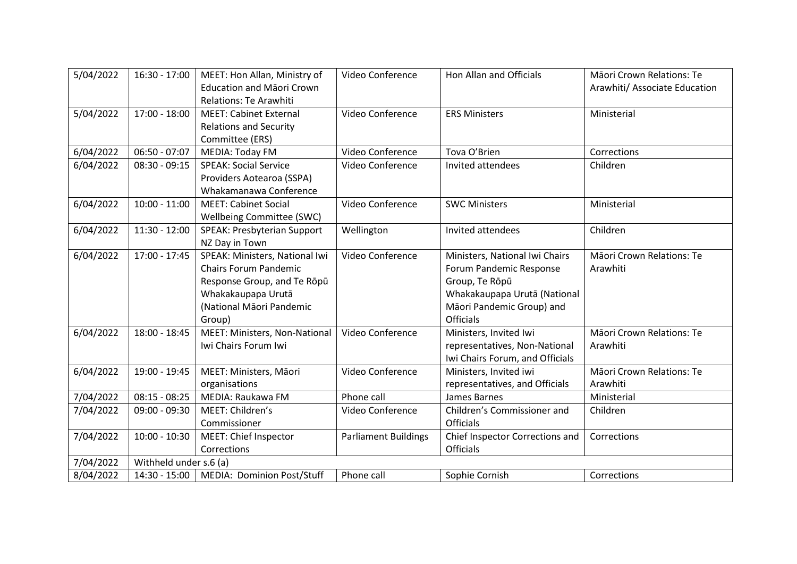| 5/04/2022 | $16:30 - 17:00$        | MEET: Hon Allan, Ministry of         | Video Conference            | Hon Allan and Officials         | Māori Crown Relations: Te     |  |
|-----------|------------------------|--------------------------------------|-----------------------------|---------------------------------|-------------------------------|--|
|           |                        | <b>Education and Māori Crown</b>     |                             |                                 | Arawhiti/ Associate Education |  |
|           |                        | <b>Relations: Te Arawhiti</b>        |                             |                                 |                               |  |
| 5/04/2022 | 17:00 - 18:00          | <b>MEET: Cabinet External</b>        | Video Conference            | <b>ERS Ministers</b>            | Ministerial                   |  |
|           |                        | <b>Relations and Security</b>        |                             |                                 |                               |  |
|           |                        | Committee (ERS)                      |                             |                                 |                               |  |
| 6/04/2022 | $06:50 - 07:07$        | <b>MEDIA: Today FM</b>               | Video Conference            | Tova O'Brien                    | Corrections                   |  |
| 6/04/2022 | $08:30 - 09:15$        | <b>SPEAK: Social Service</b>         | Video Conference            | Invited attendees               | Children                      |  |
|           |                        | Providers Aotearoa (SSPA)            |                             |                                 |                               |  |
|           |                        | Whakamanawa Conference               |                             |                                 |                               |  |
| 6/04/2022 | $10:00 - 11:00$        | <b>MEET: Cabinet Social</b>          | Video Conference            | <b>SWC Ministers</b>            | Ministerial                   |  |
|           |                        | Wellbeing Committee (SWC)            |                             |                                 |                               |  |
| 6/04/2022 | $11:30 - 12:00$        | SPEAK: Presbyterian Support          | Wellington                  | Invited attendees               | Children                      |  |
|           |                        | NZ Day in Town                       |                             |                                 |                               |  |
| 6/04/2022 | 17:00 - 17:45          | SPEAK: Ministers, National Iwi       | Video Conference            | Ministers, National Iwi Chairs  | Māori Crown Relations: Te     |  |
|           |                        | <b>Chairs Forum Pandemic</b>         |                             | Forum Pandemic Response         | Arawhiti                      |  |
|           |                        | Response Group, and Te Rōpū          |                             | Group, Te Rōpū                  |                               |  |
|           |                        | Whakakaupapa Urutā                   |                             | Whakakaupapa Urutā (National    |                               |  |
|           |                        | (National Māori Pandemic             |                             | Māori Pandemic Group) and       |                               |  |
|           |                        | Group)                               |                             | <b>Officials</b>                |                               |  |
| 6/04/2022 | $18:00 - 18:45$        | <b>MEET: Ministers, Non-National</b> | Video Conference            | Ministers, Invited Iwi          | Māori Crown Relations: Te     |  |
|           |                        | Iwi Chairs Forum Iwi                 |                             | representatives, Non-National   | Arawhiti                      |  |
|           |                        |                                      |                             | Iwi Chairs Forum, and Officials |                               |  |
| 6/04/2022 | 19:00 - 19:45          | MEET: Ministers, Māori               | Video Conference            | Ministers, Invited iwi          | Māori Crown Relations: Te     |  |
|           |                        | organisations                        |                             | representatives, and Officials  | Arawhiti                      |  |
| 7/04/2022 | $08:15 - 08:25$        | MEDIA: Raukawa FM                    | Phone call                  | James Barnes                    | Ministerial                   |  |
| 7/04/2022 | $09:00 - 09:30$        | MEET: Children's                     | Video Conference            | Children's Commissioner and     | Children                      |  |
|           |                        | Commissioner                         |                             | <b>Officials</b>                |                               |  |
| 7/04/2022 | $10:00 - 10:30$        | MEET: Chief Inspector                | <b>Parliament Buildings</b> | Chief Inspector Corrections and | Corrections                   |  |
|           |                        | Corrections                          |                             | Officials                       |                               |  |
| 7/04/2022 | Withheld under s.6 (a) |                                      |                             |                                 |                               |  |
| 8/04/2022 | 14:30 - 15:00          | MEDIA: Dominion Post/Stuff           | Phone call                  | Sophie Cornish                  | Corrections                   |  |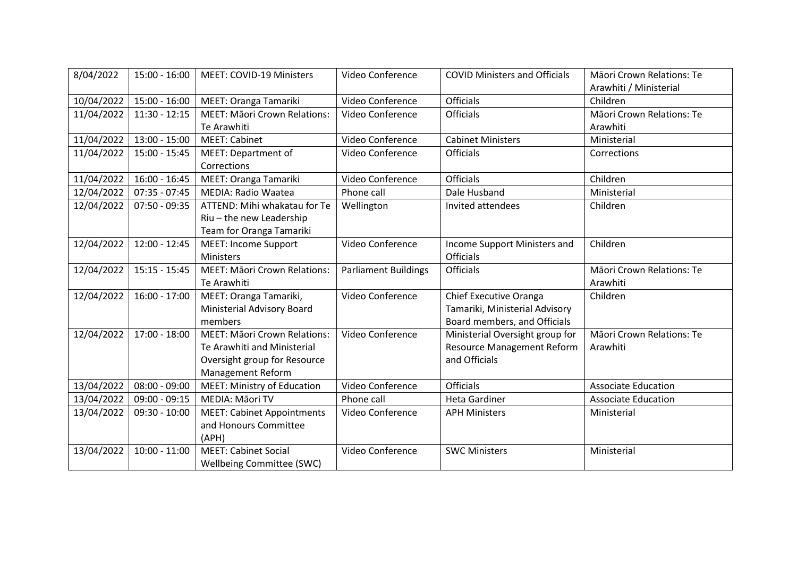| 8/04/2022  | $15:00 - 16:00$ | <b>MEET: COVID-19 Ministers</b>     | Video Conference            | <b>COVID Ministers and Officials</b> | Māori Crown Relations: Te  |
|------------|-----------------|-------------------------------------|-----------------------------|--------------------------------------|----------------------------|
|            |                 |                                     |                             |                                      | Arawhiti / Ministerial     |
| 10/04/2022 | $15:00 - 16:00$ | MEET: Oranga Tamariki               | Video Conference            | <b>Officials</b>                     | Children                   |
| 11/04/2022 | $11:30 - 12:15$ | <b>MEET: Māori Crown Relations:</b> | Video Conference            | <b>Officials</b>                     | Māori Crown Relations: Te  |
|            |                 | Te Arawhiti                         |                             |                                      | Arawhiti                   |
| 11/04/2022 | $13:00 - 15:00$ | <b>MEET: Cabinet</b>                | Video Conference            | <b>Cabinet Ministers</b>             | Ministerial                |
| 11/04/2022 | $15:00 - 15:45$ | <b>MEET: Department of</b>          | Video Conference            | <b>Officials</b>                     | Corrections                |
|            |                 | Corrections                         |                             |                                      |                            |
| 11/04/2022 | $16:00 - 16:45$ | MEET: Oranga Tamariki               | Video Conference            | <b>Officials</b>                     | Children                   |
| 12/04/2022 | $07:35 - 07:45$ | <b>MEDIA: Radio Waatea</b>          | Phone call                  | Dale Husband                         | Ministerial                |
| 12/04/2022 | $07:50 - 09:35$ | ATTEND: Mihi whakatau for Te        | Wellington                  | Invited attendees                    | Children                   |
|            |                 | Riu - the new Leadership            |                             |                                      |                            |
|            |                 | Team for Oranga Tamariki            |                             |                                      |                            |
| 12/04/2022 | $12:00 - 12:45$ | <b>MEET: Income Support</b>         | Video Conference            | Income Support Ministers and         | Children                   |
|            |                 | Ministers                           |                             | <b>Officials</b>                     |                            |
| 12/04/2022 | $15:15 - 15:45$ | <b>MEET: Māori Crown Relations:</b> | <b>Parliament Buildings</b> | <b>Officials</b>                     | Māori Crown Relations: Te  |
|            |                 | Te Arawhiti                         |                             |                                      | Arawhiti                   |
| 12/04/2022 | $16:00 - 17:00$ | MEET: Oranga Tamariki,              | Video Conference            | Chief Executive Oranga               | Children                   |
|            |                 | Ministerial Advisory Board          |                             | Tamariki, Ministerial Advisory       |                            |
|            |                 | members                             |                             | Board members, and Officials         |                            |
| 12/04/2022 | 17:00 - 18:00   | <b>MEET: Māori Crown Relations:</b> | Video Conference            | Ministerial Oversight group for      | Māori Crown Relations: Te  |
|            |                 | Te Arawhiti and Ministerial         |                             | <b>Resource Management Reform</b>    | Arawhiti                   |
|            |                 | Oversight group for Resource        |                             | and Officials                        |                            |
|            |                 | <b>Management Reform</b>            |                             |                                      |                            |
| 13/04/2022 | $08:00 - 09:00$ | <b>MEET: Ministry of Education</b>  | Video Conference            | <b>Officials</b>                     | <b>Associate Education</b> |
| 13/04/2022 | $09:00 - 09:15$ | MEDIA: Māori TV                     | Phone call                  | <b>Heta Gardiner</b>                 | <b>Associate Education</b> |
| 13/04/2022 | $09:30 - 10:00$ | <b>MEET: Cabinet Appointments</b>   | Video Conference            | <b>APH Ministers</b>                 | Ministerial                |
|            |                 | and Honours Committee               |                             |                                      |                            |
|            |                 | (APH)                               |                             |                                      |                            |
| 13/04/2022 | $10:00 - 11:00$ | <b>MEET: Cabinet Social</b>         | Video Conference            | <b>SWC Ministers</b>                 | Ministerial                |
|            |                 | Wellbeing Committee (SWC)           |                             |                                      |                            |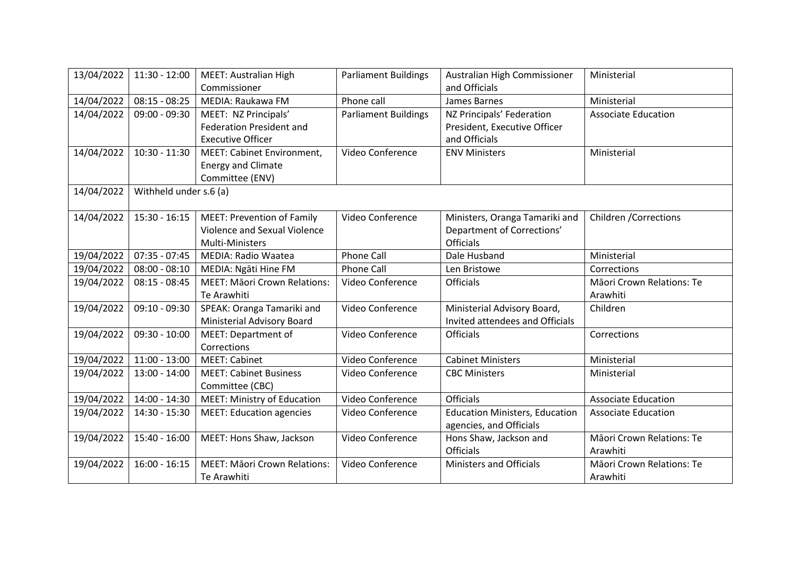| 13/04/2022 | $11:30 - 12:00$        | <b>MEET: Australian High</b>        | <b>Parliament Buildings</b> | Australian High Commissioner          | Ministerial                   |  |  |
|------------|------------------------|-------------------------------------|-----------------------------|---------------------------------------|-------------------------------|--|--|
|            |                        | Commissioner                        |                             | and Officials                         |                               |  |  |
| 14/04/2022 | $08:15 - 08:25$        | MEDIA: Raukawa FM                   | Phone call                  | James Barnes                          | Ministerial                   |  |  |
| 14/04/2022 | $09:00 - 09:30$        | MEET: NZ Principals'                | <b>Parliament Buildings</b> | NZ Principals' Federation             | <b>Associate Education</b>    |  |  |
|            |                        | <b>Federation President and</b>     |                             | President, Executive Officer          |                               |  |  |
|            |                        | <b>Executive Officer</b>            |                             | and Officials                         |                               |  |  |
| 14/04/2022 | $10:30 - 11:30$        | <b>MEET: Cabinet Environment,</b>   | Video Conference            | <b>ENV Ministers</b>                  | Ministerial                   |  |  |
|            |                        | <b>Energy and Climate</b>           |                             |                                       |                               |  |  |
|            |                        | Committee (ENV)                     |                             |                                       |                               |  |  |
| 14/04/2022 | Withheld under s.6 (a) |                                     |                             |                                       |                               |  |  |
|            |                        |                                     |                             |                                       |                               |  |  |
| 14/04/2022 | $15:30 - 16:15$        | <b>MEET: Prevention of Family</b>   | Video Conference            | Ministers, Oranga Tamariki and        | <b>Children / Corrections</b> |  |  |
|            |                        | Violence and Sexual Violence        |                             | Department of Corrections'            |                               |  |  |
|            |                        | Multi-Ministers                     |                             | <b>Officials</b>                      |                               |  |  |
| 19/04/2022 | $07:35 - 07:45$        | <b>MEDIA: Radio Waatea</b>          | <b>Phone Call</b>           | Dale Husband                          | Ministerial                   |  |  |
| 19/04/2022 | $08:00 - 08:10$        | MEDIA: Ngāti Hine FM                | Phone Call                  | Len Bristowe                          | Corrections                   |  |  |
| 19/04/2022 | $08:15 - 08:45$        | <b>MEET: Māori Crown Relations:</b> | Video Conference            | <b>Officials</b>                      | Māori Crown Relations: Te     |  |  |
|            |                        | Te Arawhiti                         |                             |                                       | Arawhiti                      |  |  |
| 19/04/2022 | $09:10 - 09:30$        | SPEAK: Oranga Tamariki and          | Video Conference            | Ministerial Advisory Board,           | Children                      |  |  |
|            |                        | Ministerial Advisory Board          |                             | Invited attendees and Officials       |                               |  |  |
| 19/04/2022 | $09:30 - 10:00$        | <b>MEET: Department of</b>          | Video Conference            | <b>Officials</b>                      | Corrections                   |  |  |
|            |                        | Corrections                         |                             |                                       |                               |  |  |
| 19/04/2022 | $11:00 - 13:00$        | <b>MEET: Cabinet</b>                | Video Conference            | <b>Cabinet Ministers</b>              | Ministerial                   |  |  |
| 19/04/2022 | $13:00 - 14:00$        | <b>MEET: Cabinet Business</b>       | Video Conference            | <b>CBC Ministers</b>                  | Ministerial                   |  |  |
|            |                        | Committee (CBC)                     |                             |                                       |                               |  |  |
| 19/04/2022 | 14:00 - 14:30          | <b>MEET: Ministry of Education</b>  | Video Conference            | <b>Officials</b>                      | <b>Associate Education</b>    |  |  |
| 19/04/2022 | 14:30 - 15:30          | <b>MEET: Education agencies</b>     | Video Conference            | <b>Education Ministers, Education</b> | <b>Associate Education</b>    |  |  |
|            |                        |                                     |                             | agencies, and Officials               |                               |  |  |
| 19/04/2022 | 15:40 - 16:00          | MEET: Hons Shaw, Jackson            | Video Conference            | Hons Shaw, Jackson and                | Māori Crown Relations: Te     |  |  |
|            |                        |                                     |                             | <b>Officials</b>                      | Arawhiti                      |  |  |
| 19/04/2022 | $16:00 - 16:15$        | <b>MEET: Māori Crown Relations:</b> | Video Conference            | <b>Ministers and Officials</b>        | Māori Crown Relations: Te     |  |  |
|            |                        | Te Arawhiti                         |                             |                                       | Arawhiti                      |  |  |